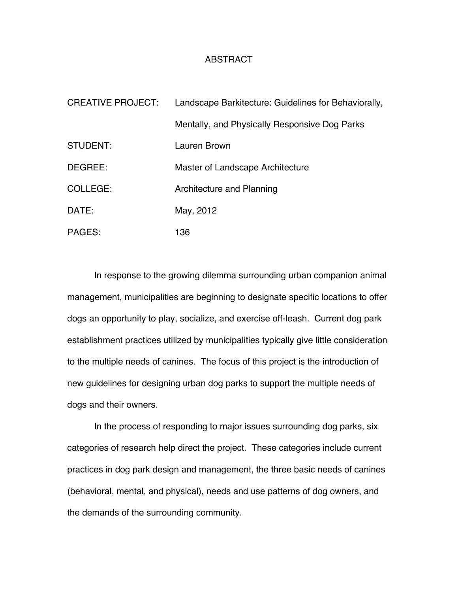## ABSTRACT

| <b>CREATIVE PROJECT:</b> | Landscape Barkitecture: Guidelines for Behaviorally, |
|--------------------------|------------------------------------------------------|
|                          | Mentally, and Physically Responsive Dog Parks        |
| STUDENT:                 | Lauren Brown                                         |
| DEGREE:                  | Master of Landscape Architecture                     |
| COLLEGE:                 | Architecture and Planning                            |
| DATE:                    | May, 2012                                            |
| PAGES:                   | 136                                                  |

In response to the growing dilemma surrounding urban companion animal management, municipalities are beginning to designate specific locations to offer dogs an opportunity to play, socialize, and exercise off-leash. Current dog park establishment practices utilized by municipalities typically give little consideration to the multiple needs of canines. The focus of this project is the introduction of new guidelines for designing urban dog parks to support the multiple needs of dogs and their owners.

In the process of responding to major issues surrounding dog parks, six categories of research help direct the project. These categories include current practices in dog park design and management, the three basic needs of canines (behavioral, mental, and physical), needs and use patterns of dog owners, and the demands of the surrounding community.